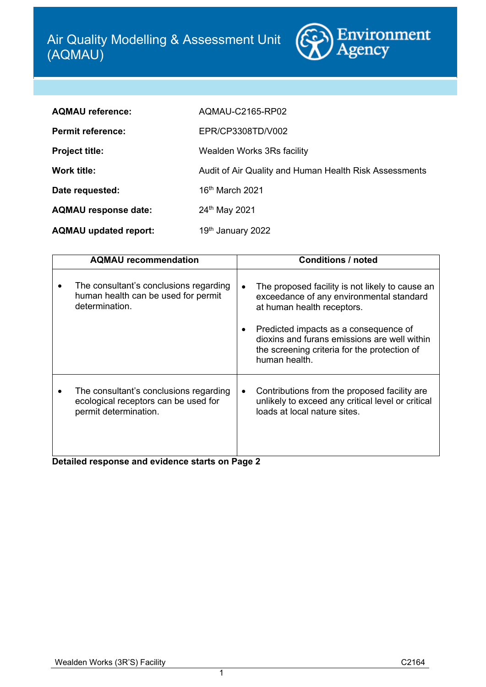

| <b>AQMAU reference:</b>      | AQMAU-C2165-RP02                                       |
|------------------------------|--------------------------------------------------------|
| <b>Permit reference:</b>     | EPR/CP3308TD/V002                                      |
| <b>Project title:</b>        | Wealden Works 3Rs facility                             |
| <b>Work title:</b>           | Audit of Air Quality and Human Health Risk Assessments |
| Date requested:              | 16th March 2021                                        |
| <b>AQMAU response date:</b>  | 24th May 2021                                          |
| <b>AQMAU updated report:</b> | 19th January 2022                                      |

| <b>AQMAU</b> recommendation                                                                                                                                | <b>Conditions / noted</b>                                                                                                                                                                                                                                                           |
|------------------------------------------------------------------------------------------------------------------------------------------------------------|-------------------------------------------------------------------------------------------------------------------------------------------------------------------------------------------------------------------------------------------------------------------------------------|
| The consultant's conclusions regarding<br>human health can be used for permit<br>determination.                                                            | The proposed facility is not likely to cause an<br>exceedance of any environmental standard<br>at human health receptors.<br>Predicted impacts as a consequence of<br>dioxins and furans emissions are well within<br>the screening criteria for the protection of<br>human health. |
| The consultant's conclusions regarding<br>ecological receptors can be used for<br>permit determination.<br>Detailed response and evidence starts on Page 2 | Contributions from the proposed facility are.<br>unlikely to exceed any critical level or critical<br>loads at local nature sites.                                                                                                                                                  |

1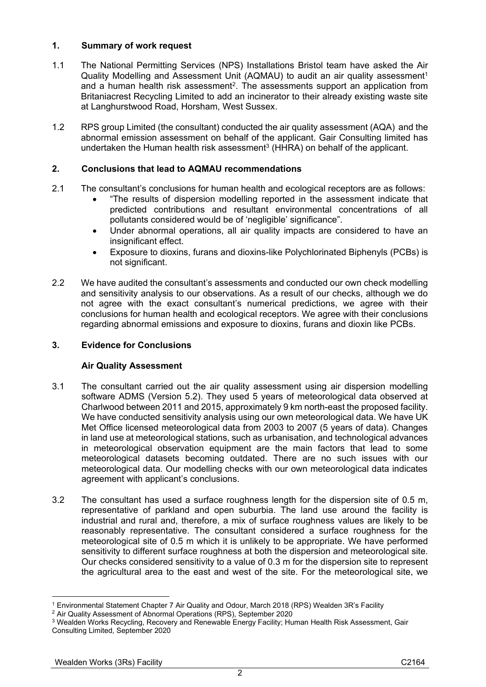# **1. Summary of work request**

- 1.1 The National Permitting Services (NPS) Installations Bristol team have asked the Air Quality Modelling and Assessment Unit (AQMAU) to audit an air quality assessment<sup>1</sup> and a human health risk assessment<sup>2</sup>. The assessments support an application from Britaniacrest Recycling Limited to add an incinerator to their already existing waste site at Langhurstwood Road, Horsham, West Sussex.
- 1.2 RPS group Limited (the consultant) conducted the air quality assessment (AQA) and the abnormal emission assessment on behalf of the applicant. Gair Consulting limited has undertaken the Human health risk assessment<sup>3</sup> (HHRA) on behalf of the applicant.

# **2. Conclusions that lead to AQMAU recommendations**

- 2.1 The consultant's conclusions for human health and ecological receptors are as follows:
	- "The results of dispersion modelling reported in the assessment indicate that predicted contributions and resultant environmental concentrations of all pollutants considered would be of 'negligible' significance".
	- Under abnormal operations, all air quality impacts are considered to have an insignificant effect.
	- Exposure to dioxins, furans and dioxins-like Polychlorinated Biphenyls (PCBs) is not significant.
- 2.2 We have audited the consultant's assessments and conducted our own check modelling and sensitivity analysis to our observations. As a result of our checks, although we do not agree with the exact consultant's numerical predictions, we agree with their conclusions for human health and ecological receptors. We agree with their conclusions regarding abnormal emissions and exposure to dioxins, furans and dioxin like PCBs.

# **3. Evidence for Conclusions**

## **Air Quality Assessment**

- <span id="page-1-0"></span>3.1 The consultant carried out the air quality assessment using air dispersion modelling software ADMS (Version 5.2). They used 5 years of meteorological data observed at Charlwood between 2011 and 2015, approximately 9 km north-east the proposed facility. We have conducted sensitivity analysis using our own meteorological data. We have UK Met Office licensed meteorological data from 2003 to 2007 (5 years of data). Changes in land use at meteorological stations, such as urbanisation, and technological advances in meteorological observation equipment are the main factors that lead to some meteorological datasets becoming outdated. There are no such issues with our meteorological data. Our modelling checks with our own meteorological data indicates agreement with applicant's conclusions.
- <span id="page-1-1"></span>3.2 The consultant has used a surface roughness length for the dispersion site of 0.5 m, representative of parkland and open suburbia. The land use around the facility is industrial and rural and, therefore, a mix of surface roughness values are likely to be reasonably representative. The consultant considered a surface roughness for the meteorological site of 0.5 m which it is unlikely to be appropriate. We have performed sensitivity to different surface roughness at both the dispersion and meteorological site. Our checks considered sensitivity to a value of 0.3 m for the dispersion site to represent the agricultural area to the east and west of the site. For the meteorological site, we

 $\overline{2}$ 

<sup>1</sup> <sup>1</sup> Environmental Statement Chapter 7 Air Quality and Odour, March 2018 (RPS) Wealden 3R's Facility

<sup>2</sup> Air Quality Assessment of Abnormal Operations (RPS), September 2020

<sup>3</sup> Wealden Works Recycling, Recovery and Renewable Energy Facility; Human Health Risk Assessment, Gair Consulting Limited, September 2020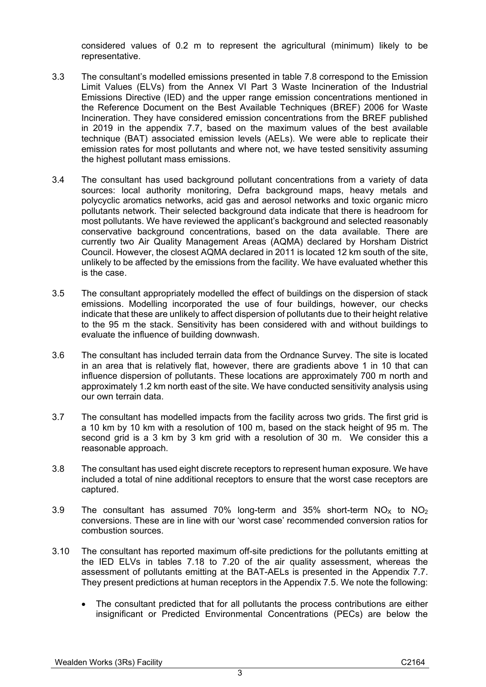considered values of 0.2 m to represent the agricultural (minimum) likely to be representative.

- 3.3 The consultant's modelled emissions presented in table 7.8 correspond to the Emission Limit Values (ELVs) from the Annex VI Part 3 Waste Incineration of the Industrial Emissions Directive (IED) and the upper range emission concentrations mentioned in the Reference Document on the Best Available Techniques (BREF) 2006 for Waste Incineration. They have considered emission concentrations from the BREF published in 2019 in the appendix 7.7, based on the maximum values of the best available technique (BAT) associated emission levels (AELs). We were able to replicate their emission rates for most pollutants and where not, we have tested sensitivity assuming the highest pollutant mass emissions.
- 3.4 The consultant has used background pollutant concentrations from a variety of data sources: local authority monitoring, Defra background maps, heavy metals and polycyclic aromatics networks, acid gas and aerosol networks and toxic organic micro pollutants network. Their selected background data indicate that there is headroom for most pollutants. We have reviewed the applicant's background and selected reasonably conservative background concentrations, based on the data available. There are currently two Air Quality Management Areas (AQMA) declared by Horsham District Council. However, the closest AQMA declared in 2011 is located 12 km south of the site, unlikely to be affected by the emissions from the facility. We have evaluated whether this is the case.
- 3.5 The consultant appropriately modelled the effect of buildings on the dispersion of stack emissions. Modelling incorporated the use of four buildings, however, our checks indicate that these are unlikely to affect dispersion of pollutants due to their height relative to the 95 m the stack. Sensitivity has been considered with and without buildings to evaluate the influence of building downwash.
- 3.6 The consultant has included terrain data from the Ordnance Survey. The site is located in an area that is relatively flat, however, there are gradients above 1 in 10 that can influence dispersion of pollutants. These locations are approximately 700 m north and approximately 1.2 km north east of the site. We have conducted sensitivity analysis using our own terrain data.
- 3.7 The consultant has modelled impacts from the facility across two grids. The first grid is a 10 km by 10 km with a resolution of 100 m, based on the stack height of 95 m. The second grid is a 3 km by 3 km grid with a resolution of 30 m. We consider this a reasonable approach.
- 3.8 The consultant has used eight discrete receptors to represent human exposure. We have included a total of nine additional receptors to ensure that the worst case receptors are captured.
- 3.9 The consultant has assumed 70% long-term and 35% short-term  $NO_x$  to  $NO_2$ conversions. These are in line with our 'worst case' recommended conversion ratios for combustion sources.
- <span id="page-2-0"></span>3.10 The consultant has reported maximum off-site predictions for the pollutants emitting at the IED ELVs in tables 7.18 to 7.20 of the air quality assessment, whereas the assessment of pollutants emitting at the BAT-AELs is presented in the Appendix 7.7. They present predictions at human receptors in the Appendix 7.5. We note the following:
	- The consultant predicted that for all pollutants the process contributions are either insignificant or Predicted Environmental Concentrations (PECs) are below the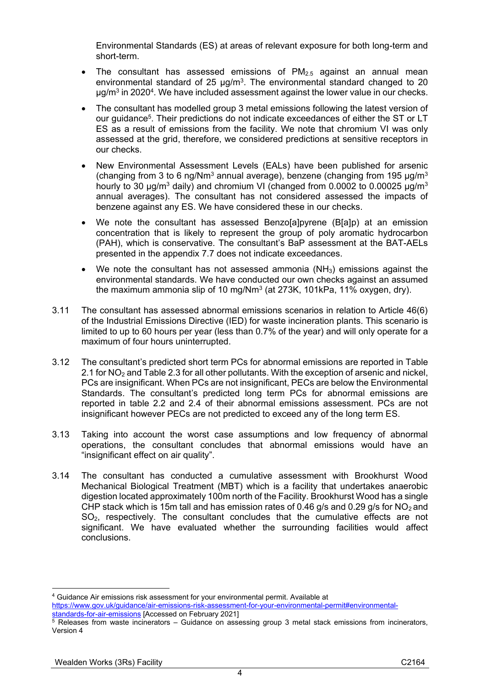Environmental Standards (ES) at areas of relevant exposure for both long-term and short-term.

- The consultant has assessed emissions of  $PM_{2.5}$  against an annual mean environmental standard of 25  $\mu$ g/m<sup>3</sup>. The environmental standard changed to 20 µg/m<sup>3</sup> in 2020<sup>4</sup>. We have included assessment against the lower value in our checks.
- The consultant has modelled group 3 metal emissions following the latest version of our guidance<sup>5</sup>. Their predictions do not indicate exceedances of either the ST or LT ES as a result of emissions from the facility. We note that chromium VI was only assessed at the grid, therefore, we considered predictions at sensitive receptors in our checks.
- New Environmental Assessment Levels (EALs) have been published for arsenic (changing from 3 to 6 ng/Nm<sup>3</sup> annual average), benzene (changing from 195  $\mu$ g/m<sup>3</sup> hourly to 30  $\mu$ g/m<sup>3</sup> daily) and chromium VI (changed from 0.0002 to 0.00025  $\mu$ g/m<sup>3</sup> annual averages). The consultant has not considered assessed the impacts of benzene against any ES. We have considered these in our checks.
- We note the consultant has assessed Benzo[a]pyrene (B[a]p) at an emission concentration that is likely to represent the group of poly aromatic hydrocarbon (PAH), which is conservative. The consultant's BaP assessment at the BAT-AELs presented in the appendix 7.7 does not indicate exceedances.
- We note the consultant has not assessed ammonia (NH<sub>3</sub>) emissions against the environmental standards. We have conducted our own checks against an assumed the maximum ammonia slip of 10 mg/Nm<sup>3</sup> (at 273K, 101kPa, 11% oxygen, dry).
- 3.11 The consultant has assessed abnormal emissions scenarios in relation to Article 46(6) of the Industrial Emissions Directive (IED) for waste incineration plants. This scenario is limited to up to 60 hours per year (less than 0.7% of the year) and will only operate for a maximum of four hours uninterrupted.
- 3.12 The consultant's predicted short term PCs for abnormal emissions are reported in Table 2.1 for  $NO<sub>2</sub>$  and Table 2.3 for all other pollutants. With the exception of arsenic and nickel, PCs are insignificant. When PCs are not insignificant, PECs are below the Environmental Standards. The consultant's predicted long term PCs for abnormal emissions are reported in table 2.2 and 2.4 of their abnormal emissions assessment. PCs are not insignificant however PECs are not predicted to exceed any of the long term ES.
- 3.13 Taking into account the worst case assumptions and low frequency of abnormal operations, the consultant concludes that abnormal emissions would have an "insignificant effect on air quality".
- 3.14 The consultant has conducted a cumulative assessment with Brookhurst Wood Mechanical Biological Treatment (MBT) which is a facility that undertakes anaerobic digestion located approximately 100m north of the Facility. Brookhurst Wood has a single CHP stack which is 15m tall and has emission rates of 0.46 g/s and 0.29 g/s for  $NO<sub>2</sub>$  and SO2, respectively. The consultant concludes that the cumulative effects are not significant. We have evaluated whether the surrounding facilities would affect conclusions.

4

<sup>1</sup> <sup>4</sup> Guidance Air emissions risk assessment for your environmental permit. Available at [https://www.gov.uk/guidance/air-emissions-risk-assessment-for-your-environmental-permit#environmental](https://www.gov.uk/guidance/air-emissions-risk-assessment-for-your-environmental-permit#environmental-standards-for-air-emissions)[standards-for-air-emissions](https://www.gov.uk/guidance/air-emissions-risk-assessment-for-your-environmental-permit#environmental-standards-for-air-emissions)</u> [Accessed on February 2021]

<sup>&</sup>lt;sup>5</sup> Releases from waste incinerators – Guidance on assessing group 3 metal stack emissions from incinerators, Version 4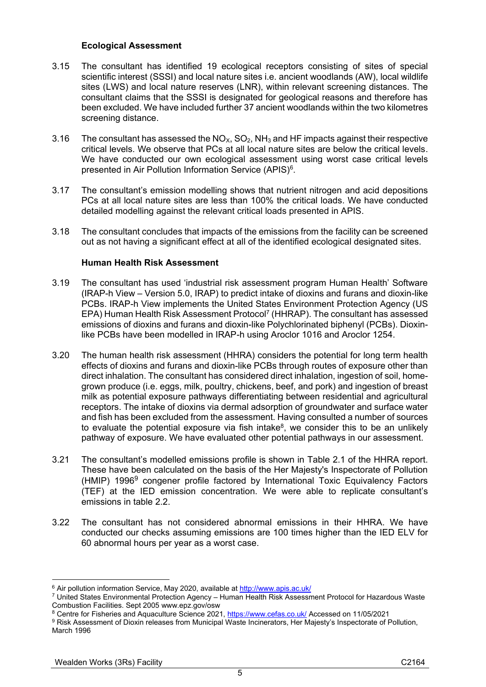#### **Ecological Assessment**

- 3.15 The consultant has identified 19 ecological receptors consisting of sites of special scientific interest (SSSI) and local nature sites i.e. ancient woodlands (AW), local wildlife sites (LWS) and local nature reserves (LNR), within relevant screening distances. The consultant claims that the SSSI is designated for geological reasons and therefore has been excluded. We have included further 37 ancient woodlands within the two kilometres screening distance.
- 3.16 The consultant has assessed the  $NO_{X}$ ,  $SO_{2}$ ,  $NH_{3}$  and HF impacts against their respective critical levels. We observe that PCs at all local nature sites are below the critical levels. We have conducted our own ecological assessment using worst case critical levels presented in Air Pollution Information Service (APIS)<sup>6</sup>.
- 3.17 The consultant's emission modelling shows that nutrient nitrogen and acid depositions PCs at all local nature sites are less than 100% the critical loads. We have conducted detailed modelling against the relevant critical loads presented in APIS.
- 3.18 The consultant concludes that impacts of the emissions from the facility can be screened out as not having a significant effect at all of the identified ecological designated sites.

### **Human Health Risk Assessment**

- 3.19 The consultant has used 'industrial risk assessment program Human Health' Software (IRAP-h View – Version 5.0, IRAP) to predict intake of dioxins and furans and dioxin-like PCBs. IRAP-h View implements the United States Environment Protection Agency (US EPA) Human Health Risk Assessment Protocol<sup>7</sup> (HHRAP). The consultant has assessed emissions of dioxins and furans and dioxin-like Polychlorinated biphenyl (PCBs). Dioxinlike PCBs have been modelled in IRAP-h using Aroclor 1016 and Aroclor 1254.
- 3.20 The human health risk assessment (HHRA) considers the potential for long term health effects of dioxins and furans and dioxin-like PCBs through routes of exposure other than direct inhalation. The consultant has considered direct inhalation, ingestion of soil, homegrown produce (i.e. eggs, milk, poultry, chickens, beef, and pork) and ingestion of breast milk as potential exposure pathways differentiating between residential and agricultural receptors. The intake of dioxins via dermal adsorption of groundwater and surface water and fish has been excluded from the assessment. Having consulted a number of sources to evaluate the potential exposure via fish intake 8 , we consider this to be an unlikely pathway of exposure. We have evaluated other potential pathways in our assessment.
- 3.21 The consultant's modelled emissions profile is shown in Table 2.1 of the HHRA report. These have been calculated on the basis of the Her Majesty's Inspectorate of Pollution (HMIP) 1996<sup>9</sup> congener profile factored by International Toxic Equivalency Factors (TEF) at the IED emission concentration. We were able to replicate consultant's emissions in table 2.2.
- 3.22 The consultant has not considered abnormal emissions in their HHRA. We have conducted our checks assuming emissions are 100 times higher than the IED ELV for 60 abnormal hours per year as a worst case.

<u>.</u>

<sup>6</sup> Air pollution information Service, May 2020, available at<http://www.apis.ac.uk/>

<sup>7</sup> United States Environmental Protection Agency – Human Health Risk Assessment Protocol for Hazardous Waste Combustion Facilities. Sept 2005 www.epz.gov/osw

<sup>8</sup> Centre for Fisheries and Aquaculture Science 2021,<https://www.cefas.co.uk/> Accessed on 11/05/2021

<sup>9</sup> Risk Assessment of Dioxin releases from Municipal Waste Incinerators, Her Majesty's Inspectorate of Pollution, March 1996